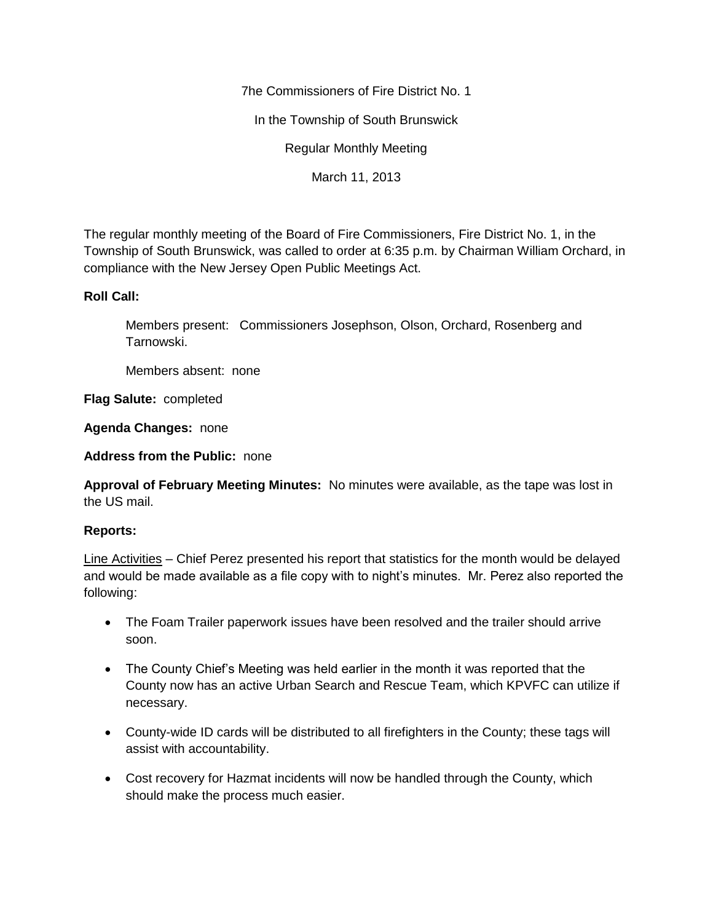7he Commissioners of Fire District No. 1

In the Township of South Brunswick

Regular Monthly Meeting

March 11, 2013

The regular monthly meeting of the Board of Fire Commissioners, Fire District No. 1, in the Township of South Brunswick, was called to order at 6:35 p.m. by Chairman William Orchard, in compliance with the New Jersey Open Public Meetings Act.

# **Roll Call:**

Members present: Commissioners Josephson, Olson, Orchard, Rosenberg and Tarnowski.

Members absent: none

**Flag Salute:** completed

**Agenda Changes:** none

**Address from the Public:** none

**Approval of February Meeting Minutes:** No minutes were available, as the tape was lost in the US mail.

# **Reports:**

Line Activities – Chief Perez presented his report that statistics for the month would be delayed and would be made available as a file copy with to night's minutes. Mr. Perez also reported the following:

- The Foam Trailer paperwork issues have been resolved and the trailer should arrive soon.
- The County Chief's Meeting was held earlier in the month it was reported that the County now has an active Urban Search and Rescue Team, which KPVFC can utilize if necessary.
- County-wide ID cards will be distributed to all firefighters in the County; these tags will assist with accountability.
- Cost recovery for Hazmat incidents will now be handled through the County, which should make the process much easier.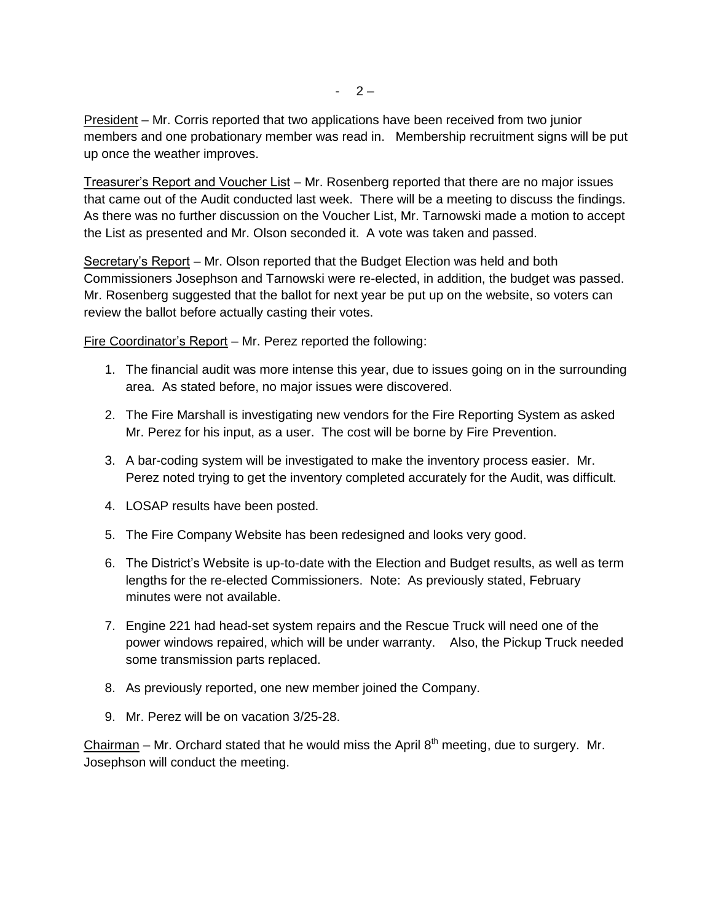President – Mr. Corris reported that two applications have been received from two junior members and one probationary member was read in. Membership recruitment signs will be put up once the weather improves.

Treasurer's Report and Voucher List – Mr. Rosenberg reported that there are no major issues that came out of the Audit conducted last week. There will be a meeting to discuss the findings. As there was no further discussion on the Voucher List, Mr. Tarnowski made a motion to accept the List as presented and Mr. Olson seconded it. A vote was taken and passed.

Secretary's Report – Mr. Olson reported that the Budget Election was held and both Commissioners Josephson and Tarnowski were re-elected, in addition, the budget was passed. Mr. Rosenberg suggested that the ballot for next year be put up on the website, so voters can review the ballot before actually casting their votes.

Fire Coordinator's Report – Mr. Perez reported the following:

- 1. The financial audit was more intense this year, due to issues going on in the surrounding area. As stated before, no major issues were discovered.
- 2. The Fire Marshall is investigating new vendors for the Fire Reporting System as asked Mr. Perez for his input, as a user. The cost will be borne by Fire Prevention.
- 3. A bar-coding system will be investigated to make the inventory process easier. Mr. Perez noted trying to get the inventory completed accurately for the Audit, was difficult.
- 4. LOSAP results have been posted.
- 5. The Fire Company Website has been redesigned and looks very good.
- 6. The District's Website is up-to-date with the Election and Budget results, as well as term lengths for the re-elected Commissioners. Note: As previously stated, February minutes were not available.
- 7. Engine 221 had head-set system repairs and the Rescue Truck will need one of the power windows repaired, which will be under warranty. Also, the Pickup Truck needed some transmission parts replaced.
- 8. As previously reported, one new member joined the Company.
- 9. Mr. Perez will be on vacation 3/25-28.

Chairman – Mr. Orchard stated that he would miss the April  $8<sup>th</sup>$  meeting, due to surgery. Mr. Josephson will conduct the meeting.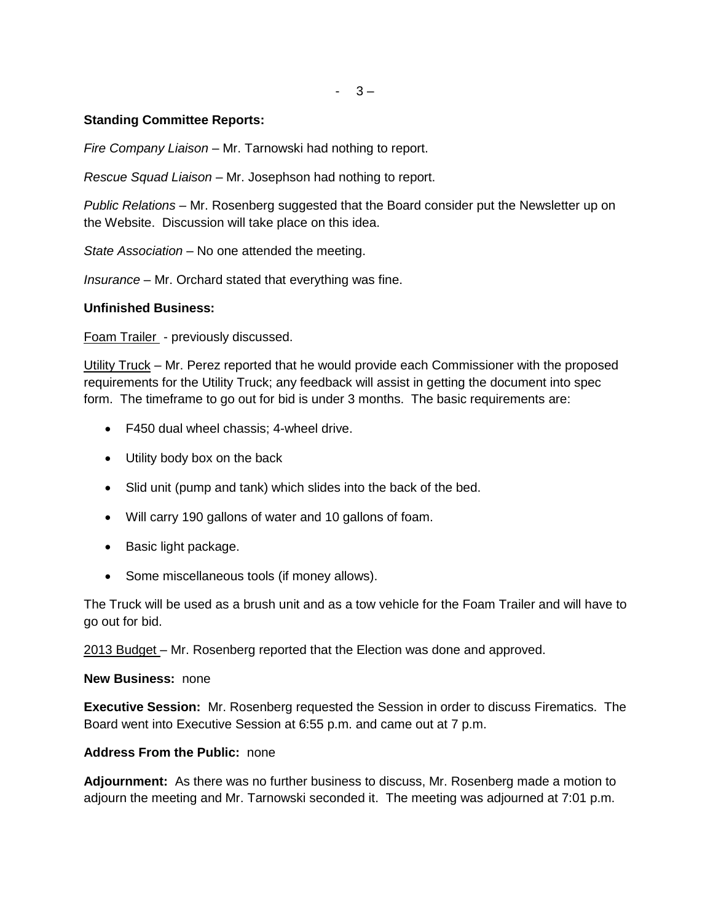$-3-$ 

## **Standing Committee Reports:**

*Fire Company Liaison –* Mr. Tarnowski had nothing to report.

*Rescue Squad Liaison –* Mr. Josephson had nothing to report.

*Public Relations –* Mr. Rosenberg suggested that the Board consider put the Newsletter up on the Website. Discussion will take place on this idea.

*State Association –* No one attended the meeting.

*Insurance –* Mr. Orchard stated that everything was fine.

## **Unfinished Business:**

Foam Trailer - previously discussed.

Utility Truck – Mr. Perez reported that he would provide each Commissioner with the proposed requirements for the Utility Truck; any feedback will assist in getting the document into spec form. The timeframe to go out for bid is under 3 months. The basic requirements are:

- F450 dual wheel chassis: 4-wheel drive.
- Utility body box on the back
- Slid unit (pump and tank) which slides into the back of the bed.
- Will carry 190 gallons of water and 10 gallons of foam.
- Basic light package.
- Some miscellaneous tools (if money allows).

The Truck will be used as a brush unit and as a tow vehicle for the Foam Trailer and will have to go out for bid.

2013 Budget – Mr. Rosenberg reported that the Election was done and approved.

### **New Business:** none

**Executive Session:** Mr. Rosenberg requested the Session in order to discuss Firematics. The Board went into Executive Session at 6:55 p.m. and came out at 7 p.m.

### **Address From the Public:** none

**Adjournment:** As there was no further business to discuss, Mr. Rosenberg made a motion to adjourn the meeting and Mr. Tarnowski seconded it. The meeting was adjourned at 7:01 p.m.